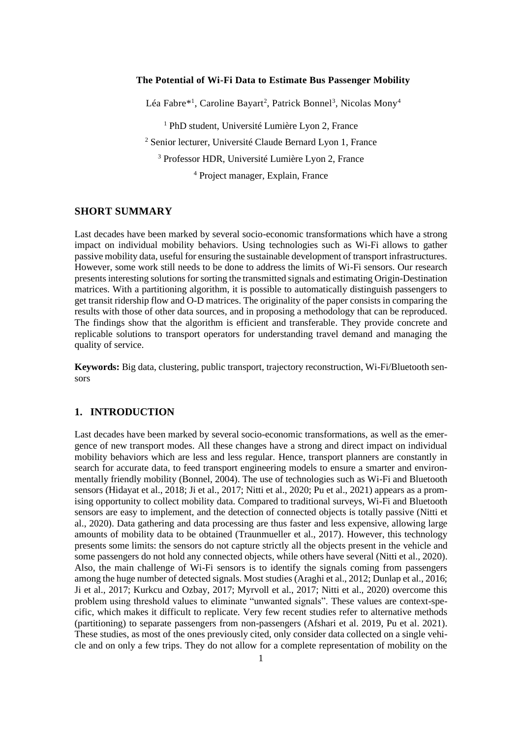#### **The Potential of Wi-Fi Data to Estimate Bus Passenger Mobility**

Léa Fabre\*<sup>1</sup>, Caroline Bayart<sup>2</sup>, Patrick Bonnel<sup>3</sup>, Nicolas Mony<sup>4</sup>

<sup>1</sup> PhD student, Université Lumière Lyon 2, France

<sup>2</sup> Senior lecturer, Université Claude Bernard Lyon 1, France

<sup>3</sup> Professor HDR, Université Lumière Lyon 2, France

<sup>4</sup> Project manager, Explain, France

## **SHORT SUMMARY**

Last decades have been marked by several socio-economic transformations which have a strong impact on individual mobility behaviors. Using technologies such as Wi-Fi allows to gather passive mobility data, useful for ensuring the sustainable development of transport infrastructures. However, some work still needs to be done to address the limits of Wi-Fi sensors. Our research presents interesting solutions for sorting the transmitted signals and estimating Origin-Destination matrices. With a partitioning algorithm, it is possible to automatically distinguish passengers to get transit ridership flow and O-D matrices. The originality of the paper consists in comparing the results with those of other data sources, and in proposing a methodology that can be reproduced. The findings show that the algorithm is efficient and transferable. They provide concrete and replicable solutions to transport operators for understanding travel demand and managing the quality of service.

**Keywords:** Big data, clustering, public transport, trajectory reconstruction, Wi-Fi/Bluetooth sensors

## **1. INTRODUCTION**

Last decades have been marked by several socio-economic transformations, as well as the emergence of new transport modes. All these changes have a strong and direct impact on individual mobility behaviors which are less and less regular. Hence, transport planners are constantly in search for accurate data, to feed transport engineering models to ensure a smarter and environmentally friendly mobility (Bonnel, 2004). The use of technologies such as Wi-Fi and Bluetooth sensors (Hidayat et al., 2018; Ji et al., 2017; Nitti et al., 2020; Pu et al., 2021) appears as a promising opportunity to collect mobility data. Compared to traditional surveys, Wi-Fi and Bluetooth sensors are easy to implement, and the detection of connected objects is totally passive (Nitti et al., 2020). Data gathering and data processing are thus faster and less expensive, allowing large amounts of mobility data to be obtained (Traunmueller et al., 2017). However, this technology presents some limits: the sensors do not capture strictly all the objects present in the vehicle and some passengers do not hold any connected objects, while others have several (Nitti et al., 2020). Also, the main challenge of Wi-Fi sensors is to identify the signals coming from passengers among the huge number of detected signals. Most studies (Araghi et al., 2012; Dunlap et al., 2016; Ji et al., 2017; Kurkcu and Ozbay, 2017; Myrvoll et al., 2017; Nitti et al., 2020) overcome this problem using threshold values to eliminate "unwanted signals". These values are context-specific, which makes it difficult to replicate. Very few recent studies refer to alternative methods (partitioning) to separate passengers from non-passengers (Afshari et al. 2019, Pu et al. 2021). These studies, as most of the ones previously cited, only consider data collected on a single vehicle and on only a few trips. They do not allow for a complete representation of mobility on the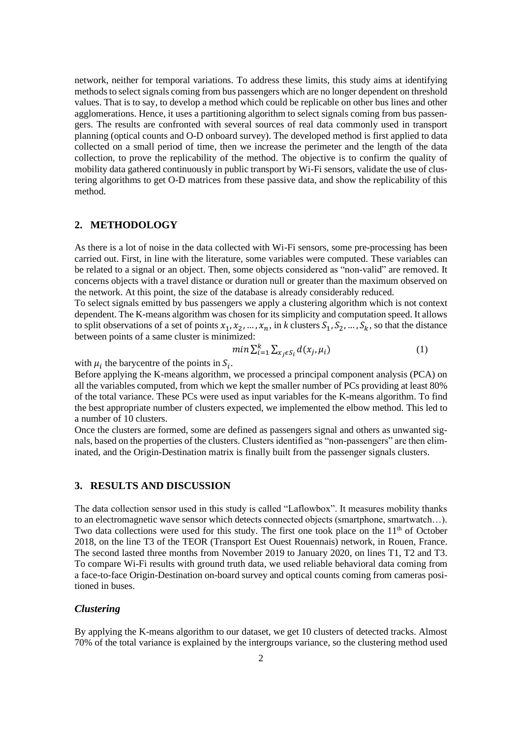network, neither for temporal variations. To address these limits, this study aims at identifying methods to select signals coming from bus passengers which are no longer dependent on threshold values. That is to say, to develop a method which could be replicable on other bus lines and other agglomerations. Hence, it uses a partitioning algorithm to select signals coming from bus passengers. The results are confronted with several sources of real data commonly used in transport planning (optical counts and O-D onboard survey). The developed method is first applied to data collected on a small period of time, then we increase the perimeter and the length of the data collection, to prove the replicability of the method. The objective is to confirm the quality of mobility data gathered continuously in public transport by Wi-Fi sensors, validate the use of clustering algorithms to get O-D matrices from these passive data, and show the replicability of this method.

#### **2. METHODOLOGY**

As there is a lot of noise in the data collected with Wi-Fi sensors, some pre-processing has been carried out. First, in line with the literature, some variables were computed. These variables can be related to a signal or an object. Then, some objects considered as "non-valid" are removed. It concerns objects with a travel distance or duration null or greater than the maximum observed on the network. At this point, the size of the database is already considerably reduced.

To select signals emitted by bus passengers we apply a clustering algorithm which is not context dependent. The K-means algorithm was chosen for its simplicity and computation speed. It allows to split observations of a set of points  $x_1, x_2, ..., x_n$ , in *k* clusters  $S_1, S_2, ..., S_k$ , so that the distance between points of a same cluster is minimized:

$$
min \sum_{i=1}^{k} \sum_{x_j \in S_i} d(x_j, \mu_i)
$$
 (1)

with  $\mu_i$  the barycentre of the points in  $S_i$ .

Before applying the K-means algorithm, we processed a principal component analysis (PCA) on all the variables computed, from which we kept the smaller number of PCs providing at least 80% of the total variance. These PCs were used as input variables for the K-means algorithm. To find the best appropriate number of clusters expected, we implemented the elbow method. This led to a number of 10 clusters.

Once the clusters are formed, some are defined as passengers signal and others as unwanted signals, based on the properties of the clusters. Clusters identified as "non-passengers" are then eliminated, and the Origin-Destination matrix is finally built from the passenger signals clusters.

# **3. RESULTS AND DISCUSSION**

The data collection sensor used in this study is called "Laflowbox". It measures mobility thanks to an electromagnetic wave sensor which detects connected objects (smartphone, smartwatch…). Two data collections were used for this study. The first one took place on the 11<sup>th</sup> of October 2018, on the line T3 of the TEOR (Transport Est Ouest Rouennais) network, in Rouen, France. The second lasted three months from November 2019 to January 2020, on lines T1, T2 and T3. To compare Wi-Fi results with ground truth data, we used reliable behavioral data coming from a face-to-face Origin-Destination on-board survey and optical counts coming from cameras positioned in buses.

#### *Clustering*

By applying the K-means algorithm to our dataset, we get 10 clusters of detected tracks. Almost 70% of the total variance is explained by the intergroups variance, so the clustering method used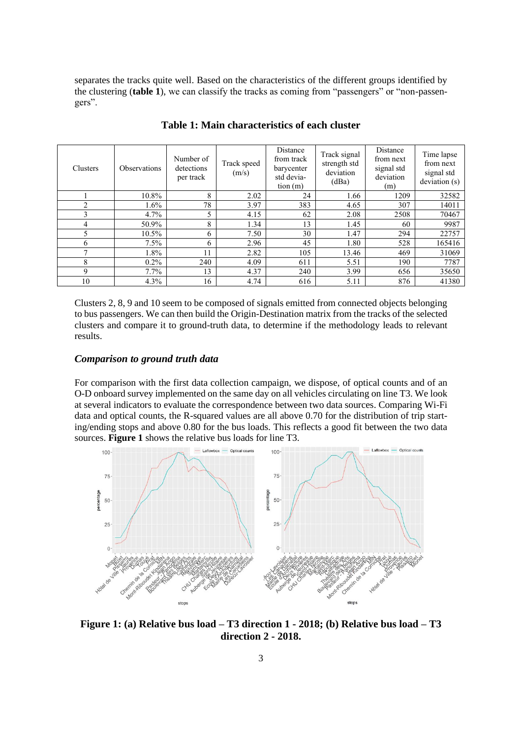separates the tracks quite well. Based on the characteristics of the different groups identified by the clustering (**table 1**), we can classify the tracks as coming from "passengers" or "non-passengers".

| Clusters | <b>Observations</b> | Number of<br>detections<br>per track | Track speed<br>(m/s) | Distance<br>from track<br>barycenter<br>std devia-<br>tion(m) | Track signal<br>strength std<br>deviation<br>(dBa) | Distance<br>from next<br>signal std<br>deviation<br>(m) | Time lapse<br>from next<br>signal std<br>deviation (s) |
|----------|---------------------|--------------------------------------|----------------------|---------------------------------------------------------------|----------------------------------------------------|---------------------------------------------------------|--------------------------------------------------------|
|          | 10.8%               | 8                                    | 2.02                 | 24                                                            | 1.66                                               | 1209                                                    | 32582                                                  |
| っ        | $1.6\%$             | 78                                   | 3.97                 | 383                                                           | 4.65                                               | 307                                                     | 14011                                                  |
| 3        | 4.7%                | 5                                    | 4.15                 | 62                                                            | 2.08                                               | 2508                                                    | 70467                                                  |
| 4        | 50.9%               | 8                                    | 1.34                 | 13                                                            | 1.45                                               | 60                                                      | 9987                                                   |
|          | $10.5\%$            | 6                                    | 7.50                 | 30                                                            | 1.47                                               | 294                                                     | 22757                                                  |
| 6        | $7.5\%$             | 6                                    | 2.96                 | 45                                                            | 1.80                                               | 528                                                     | 165416                                                 |
|          | $1.8\%$             | 11                                   | 2.82                 | 105                                                           | 13.46                                              | 469                                                     | 31069                                                  |
| 8        | $0.2\%$             | 240                                  | 4.09                 | 611                                                           | 5.51                                               | 190                                                     | 7787                                                   |
| 9        | $7.7\%$             | 13                                   | 4.37                 | 240                                                           | 3.99                                               | 656                                                     | 35650                                                  |
| 10       | $4.3\%$             | 16                                   | 4.74                 | 616                                                           | 5.11                                               | 876                                                     | 41380                                                  |

**Table 1: Main characteristics of each cluster**

Clusters 2, 8, 9 and 10 seem to be composed of signals emitted from connected objects belonging to bus passengers. We can then build the Origin-Destination matrix from the tracks of the selected clusters and compare it to ground-truth data, to determine if the methodology leads to relevant results.

## *Comparison to ground truth data*

For comparison with the first data collection campaign, we dispose, of optical counts and of an O-D onboard survey implemented on the same day on all vehicles circulating on line T3. We look at several indicators to evaluate the correspondence between two data sources. Comparing Wi-Fi data and optical counts, the R-squared values are all above 0.70 for the distribution of trip starting/ending stops and above 0.80 for the bus loads. This reflects a good fit between the two data sources. **Figure 1** shows the relative bus loads for line T3.



**Figure 1: (a) Relative bus load – T3 direction 1 - 2018; (b) Relative bus load – T3 direction 2 - 2018.**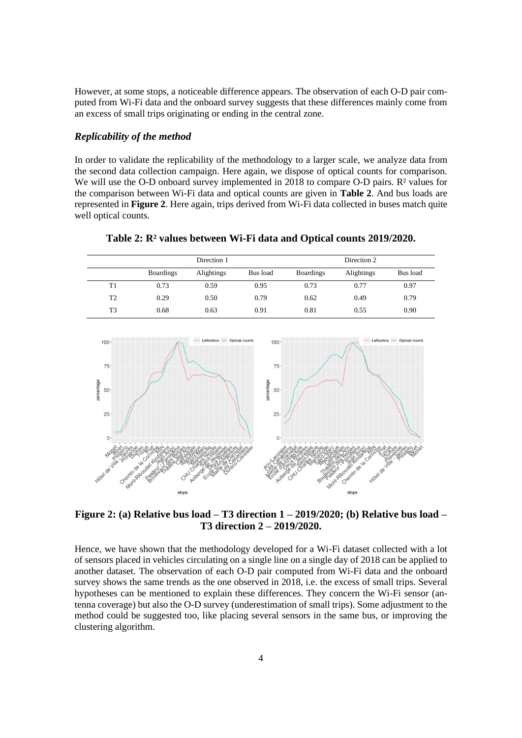However, at some stops, a noticeable difference appears. The observation of each O-D pair computed from Wi-Fi data and the onboard survey suggests that these differences mainly come from an excess of small trips originating or ending in the central zone.

## *Replicability of the method*

In order to validate the replicability of the methodology to a larger scale, we analyze data from the second data collection campaign. Here again, we dispose of optical counts for comparison. We will use the O-D onboard survey implemented in 2018 to compare O-D pairs. R<sup>2</sup> values for the comparison between Wi-Fi data and optical counts are given in **Table 2**. And bus loads are represented in **Figure 2**. Here again, trips derived from Wi-Fi data collected in buses match quite well optical counts.

Direction 1 Direction 2 Boardings Alightings Bus load Boardings Alightings Bus load T1 0.73 0.59 0.95 0.73 0.77 0.97 T2 0.29 0.50 0.79 0.62 0.49 0.79 T3 0.68 0.63 0.91 0.81 0.55 0.90

**Table 2: R² values between Wi-Fi data and Optical counts 2019/2020.**



**Figure 2: (a) Relative bus load – T3 direction 1 – 2019/2020; (b) Relative bus load – T3 direction 2 – 2019/2020.**

Hence, we have shown that the methodology developed for a Wi-Fi dataset collected with a lot of sensors placed in vehicles circulating on a single line on a single day of 2018 can be applied to another dataset. The observation of each O-D pair computed from Wi-Fi data and the onboard survey shows the same trends as the one observed in 2018, i.e. the excess of small trips. Several hypotheses can be mentioned to explain these differences. They concern the Wi-Fi sensor (antenna coverage) but also the O-D survey (underestimation of small trips). Some adjustment to the method could be suggested too, like placing several sensors in the same bus, or improving the clustering algorithm.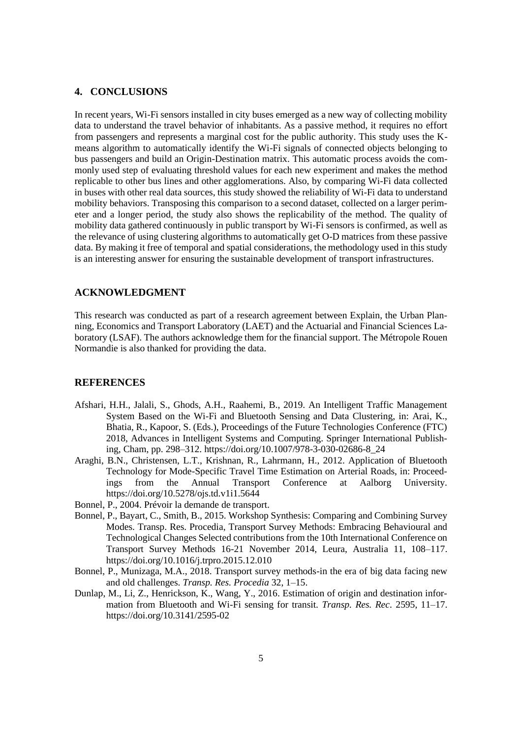#### **4. CONCLUSIONS**

In recent years, Wi-Fi sensors installed in city buses emerged as a new way of collecting mobility data to understand the travel behavior of inhabitants. As a passive method, it requires no effort from passengers and represents a marginal cost for the public authority. This study uses the Kmeans algorithm to automatically identify the Wi-Fi signals of connected objects belonging to bus passengers and build an Origin-Destination matrix. This automatic process avoids the commonly used step of evaluating threshold values for each new experiment and makes the method replicable to other bus lines and other agglomerations. Also, by comparing Wi-Fi data collected in buses with other real data sources, this study showed the reliability of Wi-Fi data to understand mobility behaviors. Transposing this comparison to a second dataset, collected on a larger perimeter and a longer period, the study also shows the replicability of the method. The quality of mobility data gathered continuously in public transport by Wi-Fi sensors is confirmed, as well as the relevance of using clustering algorithms to automatically get O-D matrices from these passive data. By making it free of temporal and spatial considerations, the methodology used in this study is an interesting answer for ensuring the sustainable development of transport infrastructures.

#### **ACKNOWLEDGMENT**

This research was conducted as part of a research agreement between Explain, the Urban Planning, Economics and Transport Laboratory (LAET) and the Actuarial and Financial Sciences Laboratory (LSAF). The authors acknowledge them for the financial support. The Métropole Rouen Normandie is also thanked for providing the data.

## **REFERENCES**

- Afshari, H.H., Jalali, S., Ghods, A.H., Raahemi, B., 2019. An Intelligent Traffic Management System Based on the Wi-Fi and Bluetooth Sensing and Data Clustering, in: Arai, K., Bhatia, R., Kapoor, S. (Eds.), Proceedings of the Future Technologies Conference (FTC) 2018, Advances in Intelligent Systems and Computing. Springer International Publishing, Cham, pp. 298–312. https://doi.org/10.1007/978-3-030-02686-8\_24
- Araghi, B.N., Christensen, L.T., Krishnan, R., Lahrmann, H., 2012. Application of Bluetooth Technology for Mode-Specific Travel Time Estimation on Arterial Roads, in: Proceedings from the Annual Transport Conference at Aalborg University. https://doi.org/10.5278/ojs.td.v1i1.5644
- Bonnel, P., 2004. Prévoir la demande de transport.
- Bonnel, P., Bayart, C., Smith, B., 2015. Workshop Synthesis: Comparing and Combining Survey Modes. Transp. Res. Procedia, Transport Survey Methods: Embracing Behavioural and Technological Changes Selected contributions from the 10th International Conference on Transport Survey Methods 16-21 November 2014, Leura, Australia 11, 108–117. https://doi.org/10.1016/j.trpro.2015.12.010
- Bonnel, P., Munizaga, M.A., 2018. Transport survey methods-in the era of big data facing new and old challenges. *Transp. Res. Procedia* 32, 1–15.
- Dunlap, M., Li, Z., Henrickson, K., Wang, Y., 2016. Estimation of origin and destination information from Bluetooth and Wi-Fi sensing for transit. *Transp. Res. Rec*. 2595, 11–17. https://doi.org/10.3141/2595-02